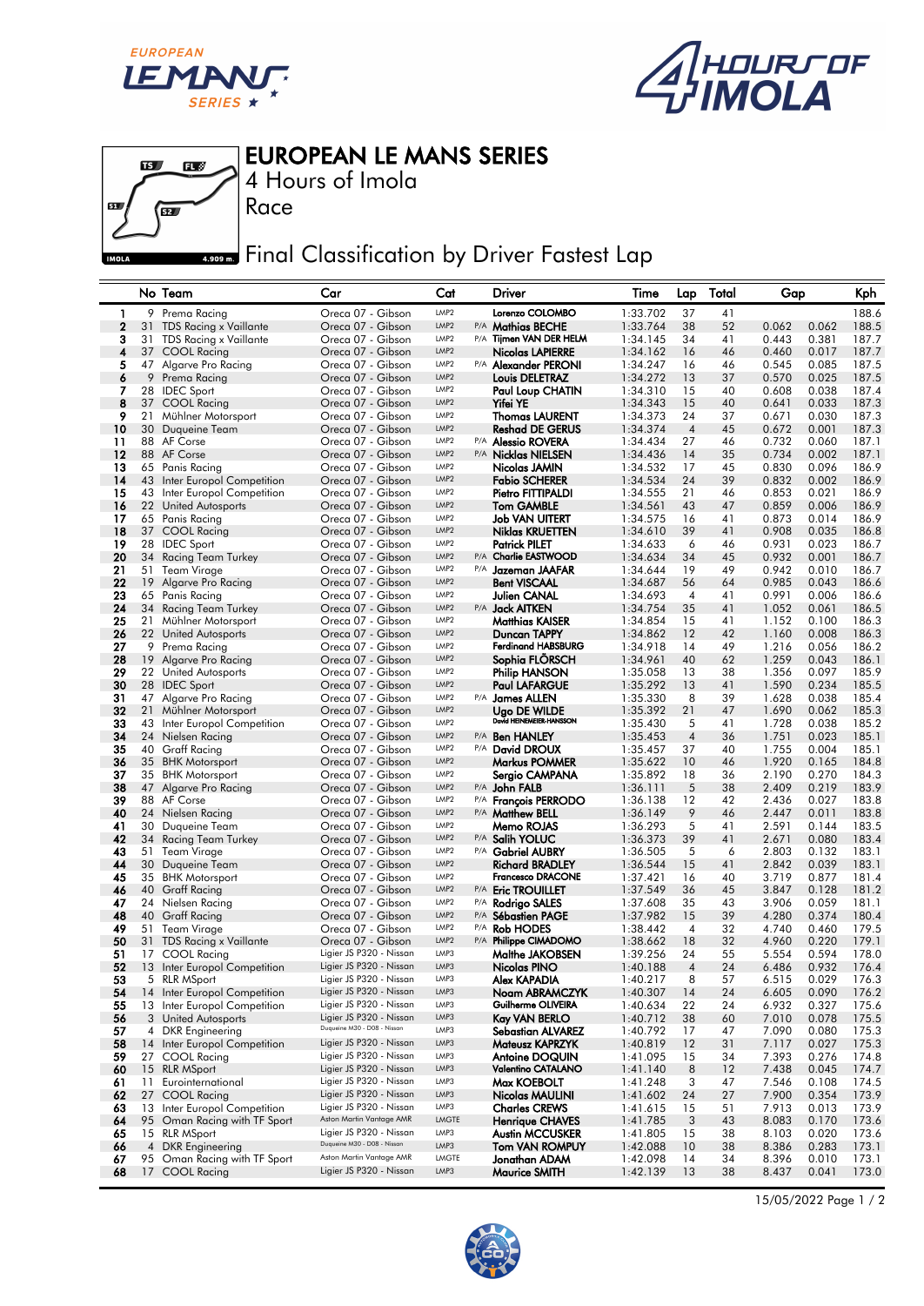





EUROPEAN LE MANS SERIES

4 Hours of Imola

Race

## **Final Classification by Driver Fastest Lap**

|              |          | No Team                                                   | Car                                                    | Cat                                  | Driver                                      | Time                 | Lap            | Total    | Gap            | Kph                              |
|--------------|----------|-----------------------------------------------------------|--------------------------------------------------------|--------------------------------------|---------------------------------------------|----------------------|----------------|----------|----------------|----------------------------------|
| 1            |          | 9 Prema Racing                                            | Oreca 07 - Gibson                                      | LMP <sub>2</sub>                     | Lorenzo COLOMBO                             | 1:33.702             | 37             | 41       |                | 188.6                            |
| $\mathbf{2}$ | 31       | <b>TDS Racing x Vaillante</b>                             | Oreca 07 - Gibson                                      | LMP <sub>2</sub>                     | P/A Mathias BECHE                           | 1:33.764             | 38             | 52       | 0.062          | 0.062<br>188.5                   |
| 3            | 31       | TDS Racing x Vaillante                                    | Oreca 07 - Gibson                                      | LMP <sub>2</sub>                     | P/A Tijmen VAN DER HELM                     | 1:34.145             | 34             | 41       | 0.443          | 0.381<br>187.7                   |
| 4            |          | 37 COOL Racing                                            | Oreca 07 - Gibson                                      | LMP <sub>2</sub>                     | Nicolas LAPIERRE                            | 1:34.162             | 16             | 46       | 0.460          | 0.017<br>187.7                   |
| 5<br>6       |          | 47 Algarve Pro Racing<br>9 Prema Racing                   | Oreca 07 - Gibson<br>Oreca 07 - Gibson                 | LMP <sub>2</sub><br>LMP <sub>2</sub> | P/A Alexander PERONI                        | 1:34.247<br>1:34.272 | 16<br>13       | 46<br>37 | 0.545<br>0.570 | 0.085<br>187.5<br>187.5<br>0.025 |
| 7            |          | 28 IDEC Sport                                             | Oreca 07 - Gibson                                      | LMP <sub>2</sub>                     | Louis DELETRAZ<br>Paul Loup CHATIN          | 1:34.310             | 15             | 40       | 0.608          | 0.038<br>187.4                   |
| 8            |          | 37 COOL Racing                                            | Oreca 07 - Gibson                                      | LMP <sub>2</sub>                     | <b>Yifei YE</b>                             | 1:34.343             | 15             | 40       | 0.641          | 0.033<br>187.3                   |
| 9            | 21       | Mühlner Motorsport                                        | Oreca 07 - Gibson                                      | LMP <sub>2</sub>                     | <b>Thomas LAURENT</b>                       | 1:34.373             | 24             | 37       | 0.671          | 0.030<br>187.3                   |
| 10           | 30       | Duqueine Team                                             | Oreca 07 - Gibson                                      | LMP <sub>2</sub>                     | <b>Reshad DE GERUS</b>                      | 1:34.374             | $\sqrt{4}$     | 45       | 0.672          | 0.001<br>187.3                   |
| 11           | 88       | AF Corse                                                  | Oreca 07 - Gibson                                      | LMP <sub>2</sub>                     | P/A <b>Alessio ROVERA</b>                   | 1:34.434             | 27             | 46       | 0.732          | 0.060<br>187.1                   |
| $12 \,$      |          | 88 AF Corse                                               | Oreca 07 - Gibson                                      | LMP <sub>2</sub>                     | P/A Nicklas NIELSEN                         | 1:34.436             | 14             | 35       | 0.734          | 0.002<br>187.1                   |
| 13           | 65       | Panis Racing                                              | Oreca 07 - Gibson                                      | LMP <sub>2</sub><br>LMP <sub>2</sub> | Nicolas JAMIN                               | 1:34.532             | 17             | 45       | 0.830          | 0.096<br>186.9                   |
| 14<br>15     | 43       | Inter Europol Competition<br>43 Inter Europol Competition | Oreca 07 - Gibson<br>Oreca 07 - Gibson                 | LMP <sub>2</sub>                     | <b>Fabio SCHERER</b><br>Pietro FITTIPALDI   | 1:34.534<br>1:34.555 | 24<br>21       | 39<br>46 | 0.832<br>0.853 | 0.002<br>186.9<br>0.021<br>186.9 |
| 16           |          | 22 United Autosports                                      | Oreca 07 - Gibson                                      | LMP <sub>2</sub>                     | <b>Tom GAMBLE</b>                           | 1:34.561             | 43             | 47       | 0.859          | 0.006<br>186.9                   |
| 17           |          | 65 Panis Racing                                           | Oreca 07 - Gibson                                      | LMP <sub>2</sub>                     | <b>Job VAN UITERT</b>                       | 1:34.575             | 16             | 41       | 0.873          | 0.014<br>186.9                   |
| 18           |          | 37 COOL Racing                                            | Oreca 07 - Gibson                                      | LMP <sub>2</sub>                     | Niklas KRUETTEN                             | 1:34.610             | 39             | 41       | 0.908          | 0.035<br>186.8                   |
| 19           | 28       | <b>IDEC</b> Sport                                         | Oreca 07 - Gibson                                      | LMP <sub>2</sub>                     | <b>Patrick PILET</b>                        | 1:34.633             | 6              | 46       | 0.931          | 0.023<br>186.7                   |
| 20           | 34       | Racing Team Turkey                                        | Oreca 07 - Gibson                                      | LMP <sub>2</sub>                     | P/A Charlie EASTWOOD                        | 1:34.634             | 34             | 45       | 0.932          | 0.001<br>186.7                   |
| 21           | 51       | Team Virage                                               | Oreca 07 - Gibson                                      | LMP <sub>2</sub>                     | P/A Jazeman JAAFAR                          | 1:34.644             | 19             | 49       | 0.942          | 0.010<br>186.7                   |
| 22           | 19       | Algarve Pro Racing                                        | Oreca 07 - Gibson                                      | LMP <sub>2</sub>                     | <b>Bent VISCAAL</b>                         | 1:34.687             | 56             | 64       | 0.985          | 0.043<br>186.6                   |
| 23<br>24     | 34       | 65 Panis Racing                                           | Oreca 07 - Gibson<br>Oreca 07 - Gibson                 | LMP <sub>2</sub><br>LMP <sub>2</sub> | <b>Julien CANAL</b><br>P/A Jack AITKEN      | 1:34.693<br>1:34.754 | 4<br>35        | 41<br>41 | 0.991<br>1.052 | 0.006<br>186.6<br>0.061<br>186.5 |
| 25           | 21       | Racing Team Turkey<br>Mühlner Motorsport                  | Oreca 07 - Gibson                                      | LMP <sub>2</sub>                     | <b>Matthias KAISER</b>                      | 1:34.854             | 15             | 41       | 1.152          | 186.3<br>0.100                   |
| 26           |          | 22 United Autosports                                      | Oreca 07 - Gibson                                      | LMP <sub>2</sub>                     | <b>Duncan TAPPY</b>                         | 1:34.862             | 12             | 42       | 1.160          | 0.008<br>186.3                   |
| 27           | 9        | Prema Racing                                              | Oreca 07 - Gibson                                      | LMP <sub>2</sub>                     | <b>Ferdinand HABSBURG</b>                   | 1:34.918             | 14             | 49       | 1.216          | 186.2<br>0.056                   |
| 28           |          | 19 Algarve Pro Racing                                     | Oreca 07 - Gibson                                      | LMP <sub>2</sub>                     | Sophia FLORSCH                              | 1:34.961             | 40             | 62       | 1.259          | 0.043<br>186.1                   |
| 29           |          | 22 United Autosports                                      | Oreca 07 - Gibson                                      | LMP <sub>2</sub>                     | <b>Philip HANSON</b>                        | 1:35.058             | 13             | 38       | 1.356          | 0.097<br>185.9                   |
| 30           |          | 28 IDEC Sport                                             | Oreca 07 - Gibson                                      | LMP <sub>2</sub>                     | <b>Paul LAFARGUE</b>                        | 1:35.292             | 13             | 41       | 1.590          | 185.5<br>0.234                   |
| 31           |          | 47 Algarve Pro Racing                                     | Oreca 07 - Gibson                                      | LMP <sub>2</sub><br>LMP <sub>2</sub> | P/A James ALLEN                             | 1:35.330             | 8              | 39       | 1.628          | 0.038<br>185.4                   |
| 32<br>33     | 21<br>43 | Mühlner Motorsport<br>Inter Europol Competition           | Oreca 07 - Gibson<br>Oreca 07 - Gibson                 | LMP <sub>2</sub>                     | Ugo DE WILDE<br>David HEINEMEIER-HANSSON    | 1:35.392<br>1:35.430 | 21<br>5        | 47<br>41 | 1.690<br>1.728 | 0.062<br>185.3<br>0.038<br>185.2 |
| 34           | 24       | Nielsen Racing                                            | Oreca 07 - Gibson                                      | LMP <sub>2</sub>                     | P/A <b>Ben HANLEY</b>                       | 1:35.453             | $\overline{4}$ | 36       | 1.751          | 0.023<br>185.1                   |
| 35           | 40       | <b>Graff Racing</b>                                       | Oreca 07 - Gibson                                      | LMP <sub>2</sub>                     | P/A David DROUX                             | 1:35.457             | 37             | 40       | 1.755          | 0.004<br>185.1                   |
| 36           |          | 35 BHK Motorsport                                         | Oreca 07 - Gibson                                      | LMP <sub>2</sub>                     | Markus POMMER                               | 1:35.622             | 10             | 46       | 1.920          | 184.8<br>0.165                   |
| 37           |          | 35 BHK Motorsport                                         | Oreca 07 - Gibson                                      | LMP <sub>2</sub>                     | Sergio CAMPANA                              | 1:35.892             | 18             | 36       | 2.190          | 0.270<br>184.3                   |
| 38           | 47       | Algarve Pro Racing                                        | Oreca 07 - Gibson                                      | LMP <sub>2</sub>                     | P/A John FALB                               | 1:36.111             | 5              | 38       | 2.409          | 183.9<br>0.219                   |
| 39           |          | 88 AF Corse                                               | Oreca 07 - Gibson                                      | LMP <sub>2</sub>                     | P/A François PERRODO                        | 1:36.138             | 12             | 42       | 2.436          | 0.027<br>183.8                   |
| 40<br>41     | 24<br>30 | Nielsen Racing                                            | Oreca 07 - Gibson<br>Oreca 07 - Gibson                 | LMP <sub>2</sub><br>LMP <sub>2</sub> | P/A Matthew BELL<br>Memo ROJAS              | 1:36.149             | 9<br>5         | 46<br>41 | 2.447<br>2.591 | 183.8<br>0.011<br>0.144<br>183.5 |
| 42           | 34       | Duqueine Team<br><b>Racing Team Turkey</b>                | Oreca 07 - Gibson                                      | LMP <sub>2</sub>                     | P/A Salih YOLUC                             | 1:36.293<br>1:36.373 | 39             | 41       | 2.671          | 0.080<br>183.4                   |
| 43           | 51       | Team Virage                                               | Oreca 07 - Gibson                                      | LMP <sub>2</sub>                     | P/A Gabriel AUBRY                           | 1:36.505             | 5              | 6        | 2.803          | 0.132<br>183.1                   |
| 44           | 30       | Duqueine Team                                             | Oreca 07 - Gibson                                      | LMP <sub>2</sub>                     | <b>Richard BRADLEY</b>                      | 1:36.544             | 15             | 41       | 2.842          | 0.039<br>183.1                   |
| 45           |          | 35 BHK Motorsport                                         | Oreca 07 - Gibson                                      | LMP <sub>2</sub>                     | <b>Francesco DRACONE</b>                    | 1:37.421             | 16             | 40       | 3.719          | 0.877<br>181.4                   |
| 46           | 40       | <b>Graff Racing</b>                                       | Oreca 07 - Gibson                                      | LMP <sub>2</sub>                     | P/A Eric TROUILLET                          | 1:37.549             | 36             | 45       | 3.847          | 0.128<br>181.2                   |
| 47           | 24       | Nielsen Racing                                            | Oreca 07 - Gibson                                      | LMP <sub>2</sub>                     | P/A Rodrigo SALES                           | 1:37.608             | 35             | 43       | 3.906          | 0.059<br>181.1                   |
| 48           | 40       | <b>Graff Racing</b>                                       | Oreca 07 - Gibson                                      | LMP <sub>2</sub><br>LMP <sub>2</sub> | P/A Sébastien PAGE                          | 1:37.982             | 15             | 39       | 4.280          | 0.374<br>180.4                   |
| 49<br>50     |          | 51 Team Virage<br>31 TDS Racing x Vaillante               | Oreca 07 - Gibson<br>Oreca 07 - Gibson                 | LMP <sub>2</sub>                     | P/A Rob HODES<br>P/A Philippe CIMADOMO      | 1:38.442<br>1:38.662 | 4<br>18        | 32<br>32 | 4.740<br>4.960 | 0.460<br>179.5<br>0.220<br>179.1 |
| 51           | 17       | COOL Racing                                               | Ligier JS P320 - Nissan                                | LMP3                                 | Malthe JAKOBSEN                             | 1:39.256             | 24             | 55       | 5.554          | 0.594<br>178.0                   |
| 52           |          | 13 Inter Europol Competition                              | Ligier JS P320 - Nissan                                | LMP3                                 | Nicolas PINO                                | 1:40.188             | $\overline{4}$ | 24       | 6.486          | 0.932<br>176.4                   |
| 53           |          | 5 RLR MSport                                              | Ligier JS P320 - Nissan                                | LMP3                                 | Alex KAPADIA                                | 1:40.217             | 8              | 57       | 6.515          | 0.029<br>176.3                   |
| 54           |          | 14 Inter Europol Competition                              | Ligier JS P320 - Nissan                                | LMP3                                 | Noam ABRAMCZYK                              | 1:40.307             | 14             | 24       | 6.605          | 0.090<br>176.2                   |
| 55           |          | 13 Inter Europol Competition                              | Ligier JS P320 - Nissan                                | LMP3                                 | Guilherme OLIVEIRA                          | 1:40.634             | 22             | 24       | 6.932          | 0.327<br>175.6                   |
| 56           |          | 3 United Autosports                                       | Ligier JS P320 - Nissan<br>Duqueine M30 - D08 - Nissan | LMP3                                 | Kay VAN BERLO                               | 1:40.712             | 38             | 60       | 7.010          | 0.078<br>175.5                   |
| 57<br>58     |          | 4 DKR Engineering<br>14 Inter Europol Competition         | Ligier JS P320 - Nissan                                | LMP3<br>LMP3                         | <b>Sebastian ALVAREZ</b><br>Mateusz KAPRZYK | 1:40.792             | 17<br>12       | 47       | 7.090          | 0.080<br>175.3                   |
| 59           |          | 27 COOL Racing                                            | Ligier JS P320 - Nissan                                | LMP3                                 | Antoine DOQUIN                              | 1:40.819<br>1:41.095 | 15             | 31<br>34 | 7.117<br>7.393 | 0.027<br>175.3<br>0.276<br>174.8 |
| 60           |          | 15 RLR MSport                                             | Ligier JS P320 - Nissan                                | LMP3                                 | Valentino CATALANO                          | 1:41.140             | 8              | 12       | 7.438          | 174.7<br>0.045                   |
| 61           | 11       | Eurointernational                                         | Ligier JS P320 - Nissan                                | LMP3                                 | Max KOEBOLT                                 | 1:41.248             | 3              | 47       | 7.546          | 174.5<br>0.108                   |
| 62           | 27       | <b>COOL Racing</b>                                        | Ligier JS P320 - Nissan                                | LMP3                                 | Nicolas MAULINI                             | 1:41.602             | 24             | 27       | 7.900          | 173.9<br>0.354                   |
| 63           |          | 13 Inter Europol Competition                              | Ligier JS P320 - Nissan                                | LMP3                                 | <b>Charles CREWS</b>                        | 1:41.615             | 15             | 51       | 7.913          | 0.013<br>173.9                   |
| 64           | 95       | Oman Racing with TF Sport                                 | Aston Martin Vantage AMR                               | <b>LMGTE</b>                         | <b>Henrique CHAVES</b>                      | 1:41.785             | 3              | 43       | 8.083          | 0.170<br>173.6                   |
| 65           |          | 15 RLR MSport                                             | Ligier JS P320 - Nissan<br>Duqueine M30 - D08 - Nissan | LMP3<br>LMP3                         | <b>Austin MCCUSKER</b>                      | 1:41.805             | 15             | 38       | 8.103          | 0.020<br>173.6                   |
| 66<br>67     |          | 4 DKR Engineering<br>95 Oman Racing with TF Sport         | Aston Martin Vantage AMR                               | <b>LMGTE</b>                         | <b>Tom VAN ROMPUY</b><br>Jonathan ADAM      | 1:42.088<br>1:42.098 | 10<br>14       | 38<br>34 | 8.386<br>8.396 | 0.283<br>173.1<br>173.1<br>0.010 |
| 68           |          | 17 COOL Racing                                            | Ligier JS P320 - Nissan                                | LMP3                                 | <b>Maurice SMITH</b>                        | 1:42.139             | 13             | 38       | 8.437          | 0.041<br>173.0                   |
|              |          |                                                           |                                                        |                                      |                                             |                      |                |          |                |                                  |